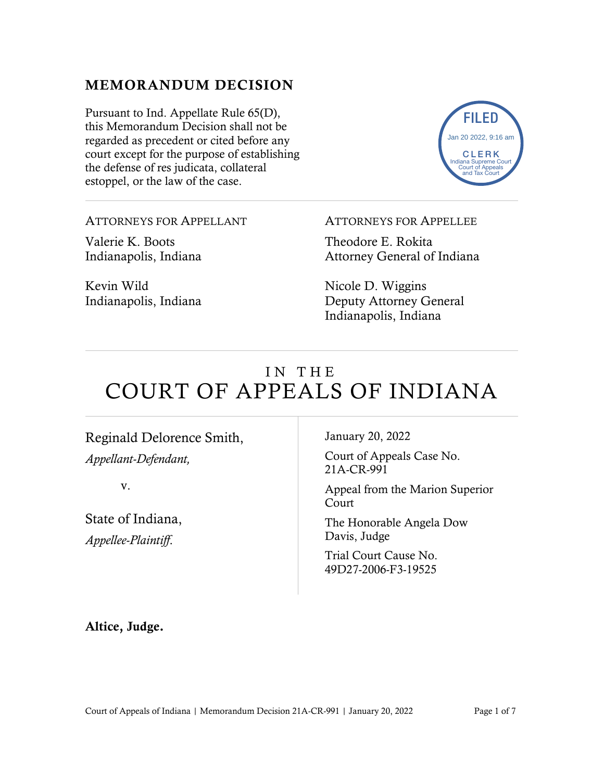# MEMORANDUM DECISION

Pursuant to Ind. Appellate Rule 65(D), this Memorandum Decision shall not be regarded as precedent or cited before any court except for the purpose of establishing the defense of res judicata, collateral estoppel, or the law of the case.



ATTORNEYS FOR APPELLANT

Valerie K. Boots Indianapolis, Indiana

Kevin Wild Indianapolis, Indiana ATTORNEYS FOR APPELLEE

Theodore E. Rokita Attorney General of Indiana

Nicole D. Wiggins Deputy Attorney General Indianapolis, Indiana

# IN THE COURT OF APPEALS OF INDIANA

Reginald Delorence Smith,

*Appellant-Defendant,*

v.

State of Indiana, *Appellee-Plaintiff*.

January 20, 2022

Court of Appeals Case No. 21A-CR-991

Appeal from the Marion Superior Court

The Honorable Angela Dow Davis, Judge

Trial Court Cause No. 49D27-2006-F3-19525

Altice, Judge.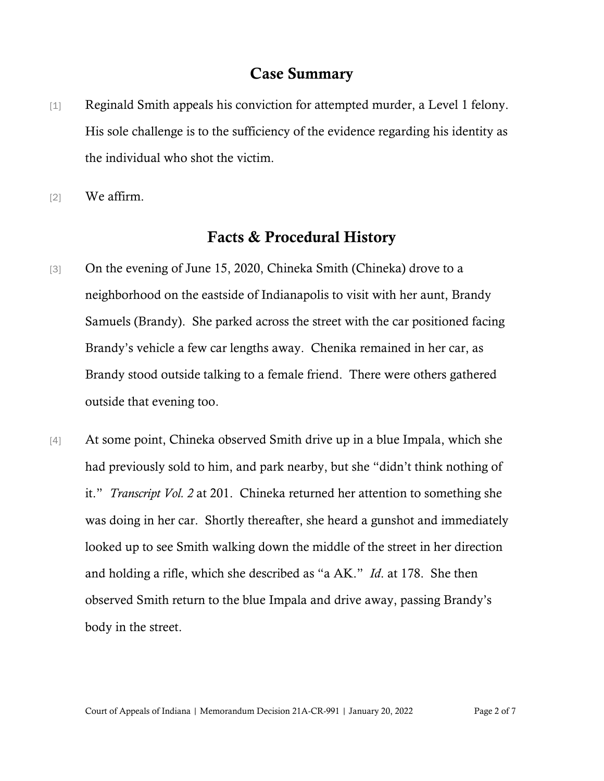#### Case Summary

- [1] Reginald Smith appeals his conviction for attempted murder, a Level 1 felony. His sole challenge is to the sufficiency of the evidence regarding his identity as the individual who shot the victim.
- [2] We affirm.

### Facts & Procedural History

- [3] On the evening of June 15, 2020, Chineka Smith (Chineka) drove to a neighborhood on the eastside of Indianapolis to visit with her aunt, Brandy Samuels (Brandy). She parked across the street with the car positioned facing Brandy's vehicle a few car lengths away. Chenika remained in her car, as Brandy stood outside talking to a female friend. There were others gathered outside that evening too.
- [4] At some point, Chineka observed Smith drive up in a blue Impala, which she had previously sold to him, and park nearby, but she "didn't think nothing of it." *Transcript Vol. 2* at 201. Chineka returned her attention to something she was doing in her car. Shortly thereafter, she heard a gunshot and immediately looked up to see Smith walking down the middle of the street in her direction and holding a rifle, which she described as "a AK." *Id*. at 178. She then observed Smith return to the blue Impala and drive away, passing Brandy's body in the street.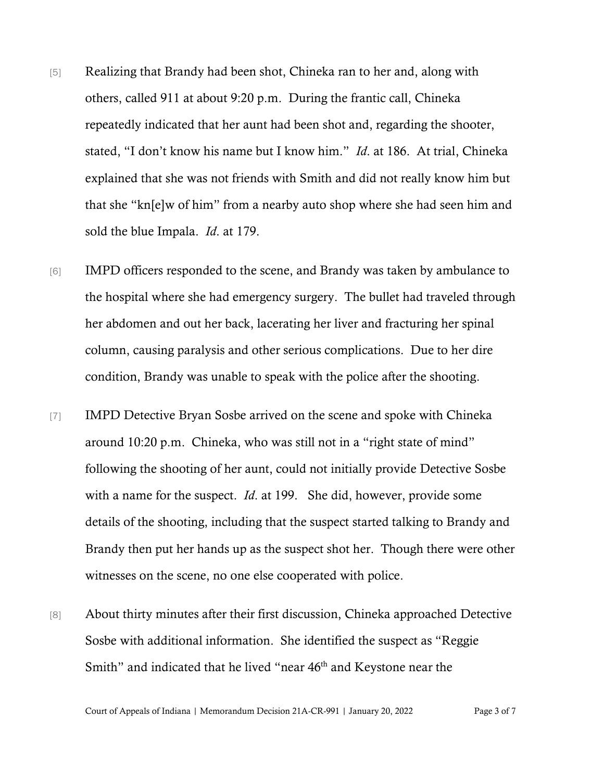- [5] Realizing that Brandy had been shot, Chineka ran to her and, along with others, called 911 at about 9:20 p.m. During the frantic call, Chineka repeatedly indicated that her aunt had been shot and, regarding the shooter, stated, "I don't know his name but I know him." *Id*. at 186. At trial, Chineka explained that she was not friends with Smith and did not really know him but that she "kn[e]w of him" from a nearby auto shop where she had seen him and sold the blue Impala. *Id*. at 179.
- [6] IMPD officers responded to the scene, and Brandy was taken by ambulance to the hospital where she had emergency surgery. The bullet had traveled through her abdomen and out her back, lacerating her liver and fracturing her spinal column, causing paralysis and other serious complications. Due to her dire condition, Brandy was unable to speak with the police after the shooting.
- [7] IMPD Detective Bryan Sosbe arrived on the scene and spoke with Chineka around 10:20 p.m. Chineka, who was still not in a "right state of mind" following the shooting of her aunt, could not initially provide Detective Sosbe with a name for the suspect. *Id*. at 199. She did, however, provide some details of the shooting, including that the suspect started talking to Brandy and Brandy then put her hands up as the suspect shot her. Though there were other witnesses on the scene, no one else cooperated with police.
- [8] About thirty minutes after their first discussion, Chineka approached Detective Sosbe with additional information. She identified the suspect as "Reggie Smith" and indicated that he lived "near 46<sup>th</sup> and Keystone near the

Court of Appeals of Indiana | Memorandum Decision 21A-CR-991 | January 20, 2022 Page 3 of 7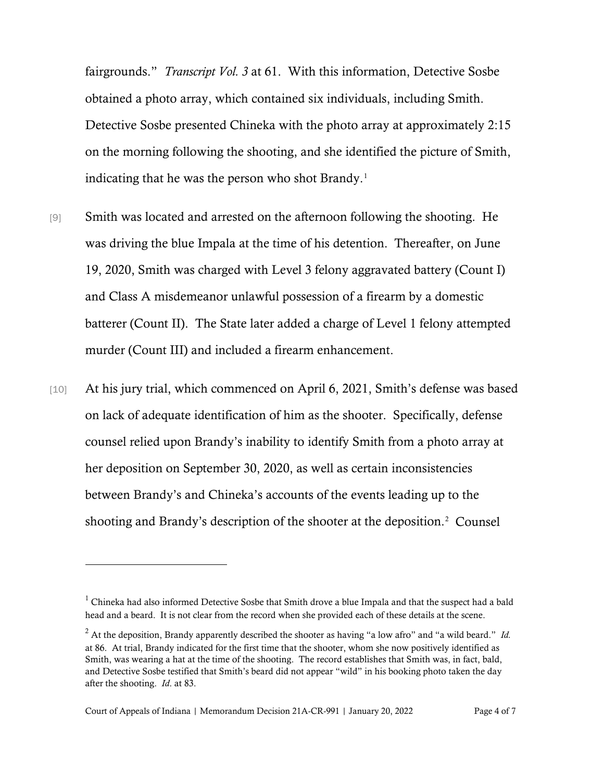fairgrounds." *Transcript Vol. 3* at 61. With this information, Detective Sosbe obtained a photo array, which contained six individuals, including Smith. Detective Sosbe presented Chineka with the photo array at approximately 2:15 on the morning following the shooting, and she identified the picture of Smith, indicating that he was the person who shot Brandy.<sup>[1](#page-3-0)</sup>

- [9] Smith was located and arrested on the afternoon following the shooting. He was driving the blue Impala at the time of his detention. Thereafter, on June 19, 2020, Smith was charged with Level 3 felony aggravated battery (Count I) and Class A misdemeanor unlawful possession of a firearm by a domestic batterer (Count II). The State later added a charge of Level 1 felony attempted murder (Count III) and included a firearm enhancement.
- [10] At his jury trial, which commenced on April 6, 2021, Smith's defense was based on lack of adequate identification of him as the shooter. Specifically, defense counsel relied upon Brandy's inability to identify Smith from a photo array at her deposition on September 30, 2020, as well as certain inconsistencies between Brandy's and Chineka's accounts of the events leading up to the shooting and Brandy's description of the shooter at the deposition. $2$  Counsel

<span id="page-3-0"></span><sup>&</sup>lt;sup>1</sup> Chineka had also informed Detective Sosbe that Smith drove a blue Impala and that the suspect had a bald head and a beard. It is not clear from the record when she provided each of these details at the scene.

<span id="page-3-1"></span><sup>2</sup> At the deposition, Brandy apparently described the shooter as having "a low afro" and "a wild beard." *Id.* at 86. At trial, Brandy indicated for the first time that the shooter, whom she now positively identified as Smith, was wearing a hat at the time of the shooting. The record establishes that Smith was, in fact, bald, and Detective Sosbe testified that Smith's beard did not appear "wild" in his booking photo taken the day after the shooting. *Id*. at 83.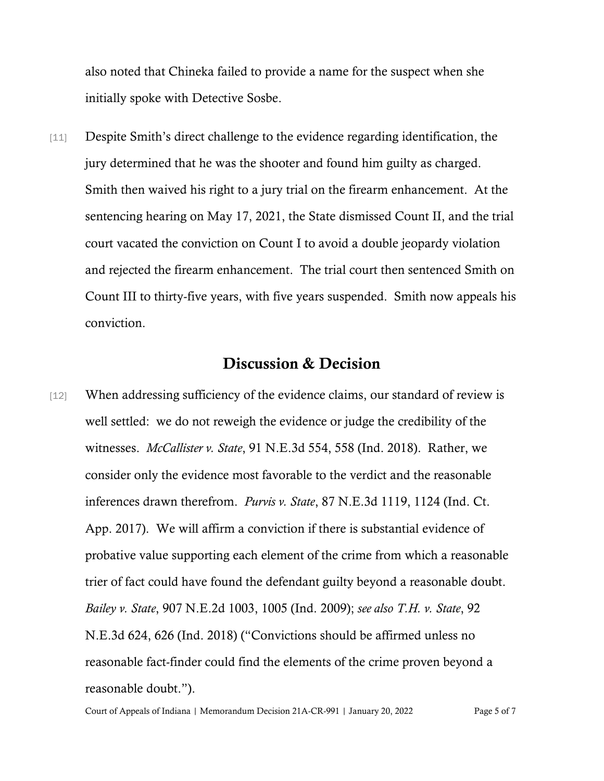also noted that Chineka failed to provide a name for the suspect when she initially spoke with Detective Sosbe.

[11] Despite Smith's direct challenge to the evidence regarding identification, the jury determined that he was the shooter and found him guilty as charged. Smith then waived his right to a jury trial on the firearm enhancement. At the sentencing hearing on May 17, 2021, the State dismissed Count II, and the trial court vacated the conviction on Count I to avoid a double jeopardy violation and rejected the firearm enhancement. The trial court then sentenced Smith on Count III to thirty-five years, with five years suspended. Smith now appeals his conviction.

## Discussion & Decision

[12] When addressing sufficiency of the evidence claims, our standard of review is well settled: we do not reweigh the evidence or judge the credibility of the witnesses. *McCallister v. State*, 91 N.E.3d 554, 558 (Ind. 2018). Rather, we consider only the evidence most favorable to the verdict and the reasonable inferences drawn therefrom. *Purvis v. State*, 87 N.E.3d 1119, 1124 (Ind. Ct. App. 2017). We will affirm a conviction if there is substantial evidence of probative value supporting each element of the crime from which a reasonable trier of fact could have found the defendant guilty beyond a reasonable doubt. *Bailey v. State*, 907 N.E.2d 1003, 1005 (Ind. 2009); *see also T.H. v. State*, 92 N.E.3d 624, 626 (Ind. 2018) ("Convictions should be affirmed unless no reasonable fact-finder could find the elements of the crime proven beyond a reasonable doubt.").

Court of Appeals of Indiana | Memorandum Decision 21A-CR-991 | January 20, 2022 Page 5 of 7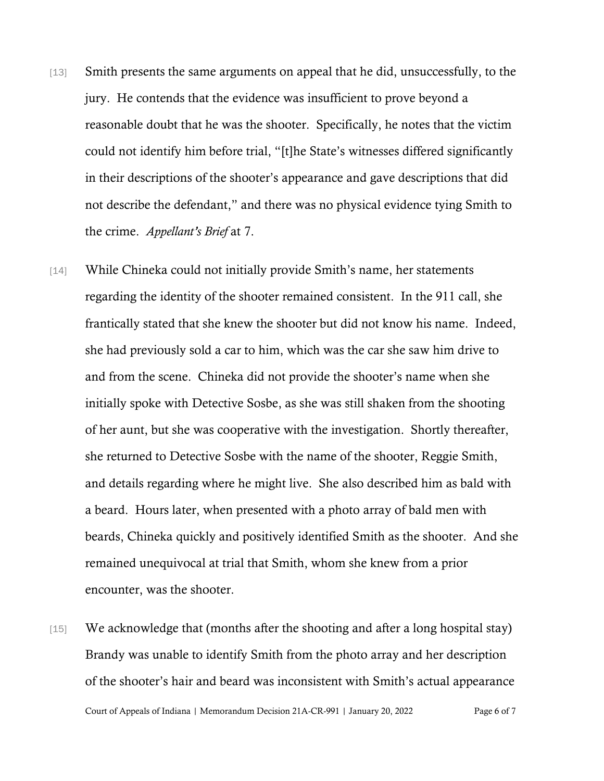- [13] Smith presents the same arguments on appeal that he did, unsuccessfully, to the jury. He contends that the evidence was insufficient to prove beyond a reasonable doubt that he was the shooter. Specifically, he notes that the victim could not identify him before trial, "[t]he State's witnesses differed significantly in their descriptions of the shooter's appearance and gave descriptions that did not describe the defendant," and there was no physical evidence tying Smith to the crime. *Appellant's Brief* at 7.
- [14] While Chineka could not initially provide Smith's name, her statements regarding the identity of the shooter remained consistent. In the 911 call, she frantically stated that she knew the shooter but did not know his name. Indeed, she had previously sold a car to him, which was the car she saw him drive to and from the scene. Chineka did not provide the shooter's name when she initially spoke with Detective Sosbe, as she was still shaken from the shooting of her aunt, but she was cooperative with the investigation. Shortly thereafter, she returned to Detective Sosbe with the name of the shooter, Reggie Smith, and details regarding where he might live. She also described him as bald with a beard. Hours later, when presented with a photo array of bald men with beards, Chineka quickly and positively identified Smith as the shooter. And she remained unequivocal at trial that Smith, whom she knew from a prior encounter, was the shooter.
- Court of Appeals of Indiana | Memorandum Decision 21A-CR-991 | January 20, 2022 Page 6 of 7 [15] We acknowledge that (months after the shooting and after a long hospital stay) Brandy was unable to identify Smith from the photo array and her description of the shooter's hair and beard was inconsistent with Smith's actual appearance